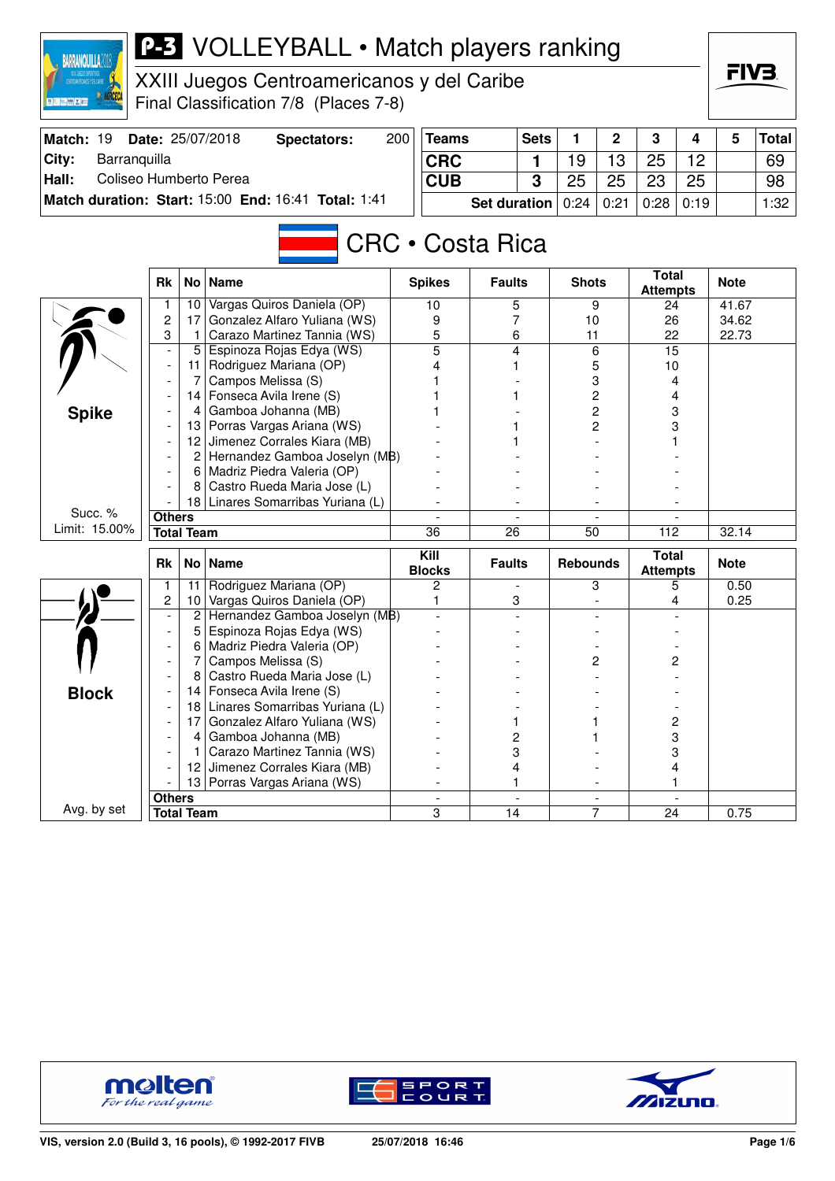| <b>P-3</b> VOLLEYBALL • Match players ranking<br><b>BARRANQUILLA2</b><br>XXIII Juegos Centroamericanos y del Caribe |                                                     |                                    |                                                             |     |                       |                 |                     |                             |              |                                 |      |             | FIV3         |
|---------------------------------------------------------------------------------------------------------------------|-----------------------------------------------------|------------------------------------|-------------------------------------------------------------|-----|-----------------------|-----------------|---------------------|-----------------------------|--------------|---------------------------------|------|-------------|--------------|
| ■ 第二 三 時 ズ 第二                                                                                                       |                                                     |                                    | Final Classification 7/8 (Places 7-8)                       |     |                       |                 |                     |                             |              |                                 |      |             |              |
| Match: 19                                                                                                           |                                                     |                                    | Date: 25/07/2018<br><b>Spectators:</b>                      | 200 | <b>Teams</b>          |                 | <b>Sets</b>         | 1                           | 2            | 3                               | 4    | 5           | <b>Total</b> |
| City:<br>Barranquilla                                                                                               |                                                     | <b>CRC</b>                         |                                                             | 1   | 19                    | 13              | 25                  | 12                          |              | 69                              |      |             |              |
| Hall:<br>Coliseo Humberto Perea                                                                                     |                                                     | <b>CUB</b>                         |                                                             | 3   | 25                    | 25              | 23                  | 25                          |              | 98                              |      |             |              |
|                                                                                                                     | Match duration: Start: 15:00 End: 16:41 Total: 1:41 |                                    |                                                             |     |                       |                 | <b>Set duration</b> | 0:24                        | 0:21         | 0:28                            | 0:19 |             | 1:32         |
|                                                                                                                     |                                                     |                                    |                                                             |     |                       |                 |                     |                             |              |                                 |      |             |              |
| <b>CRC • Costa Rica</b>                                                                                             |                                                     |                                    |                                                             |     |                       |                 |                     |                             |              |                                 |      |             |              |
|                                                                                                                     | <b>Rk</b><br>No<br><b>Name</b>                      |                                    |                                                             |     | <b>Spikes</b>         | <b>Faults</b>   |                     | <b>Shots</b>                |              | <b>Total</b><br><b>Attempts</b> |      | <b>Note</b> |              |
|                                                                                                                     | 1                                                   | 10                                 | Vargas Quiros Daniela (OP)                                  |     | 10                    | 5               |                     |                             | 9            | 24                              |      | 41.67       |              |
|                                                                                                                     | 2                                                   | 17                                 | Gonzalez Alfaro Yuliana (WS)                                |     | 9                     | 7               |                     | 10                          |              | 26                              |      | 34.62       |              |
|                                                                                                                     | 3                                                   | -1<br>5                            | Carazo Martinez Tannia (WS)<br>Espinoza Rojas Edya (WS)     |     | 5<br>5                | 6<br>4          |                     | 11<br>6<br>5<br>3<br>2<br>2 |              | 22<br>15                        |      | 22.73       |              |
|                                                                                                                     |                                                     | 11.                                | Rodriguez Mariana (OP)                                      |     |                       |                 |                     |                             |              | 10                              |      |             |              |
|                                                                                                                     |                                                     | 7                                  | Campos Melissa (S)                                          |     |                       |                 |                     |                             |              |                                 | 4    |             |              |
|                                                                                                                     |                                                     | 14                                 | Fonseca Avila Irene (S)                                     |     |                       |                 |                     |                             |              |                                 | 4    |             |              |
| <b>Spike</b>                                                                                                        |                                                     | 4                                  | Gamboa Johanna (MB)                                         |     |                       |                 |                     |                             |              |                                 | 3    |             |              |
|                                                                                                                     |                                                     | 13                                 | Porras Vargas Ariana (WS)                                   |     |                       |                 |                     |                             | 2            |                                 | 3    |             |              |
|                                                                                                                     |                                                     | 12                                 | Jimenez Corrales Kiara (MB)                                 |     |                       |                 |                     |                             |              |                                 |      |             |              |
|                                                                                                                     |                                                     | 2                                  | Hernandez Gamboa Joselyn (MB)                               |     |                       |                 |                     |                             |              |                                 |      |             |              |
|                                                                                                                     |                                                     | 6                                  | Madriz Piedra Valeria (OP)                                  |     |                       |                 |                     |                             |              |                                 |      |             |              |
|                                                                                                                     |                                                     | 8                                  | Castro Rueda Maria Jose (L)                                 |     |                       |                 |                     |                             |              |                                 |      |             |              |
| Succ. %                                                                                                             |                                                     | 18                                 | Linares Somarribas Yuriana (L)                              |     |                       |                 |                     |                             |              |                                 |      |             |              |
| Limit: 15.00%                                                                                                       |                                                     | <b>Others</b><br><b>Total Team</b> |                                                             |     | $\overline{36}$       | $\overline{26}$ |                     | 50                          |              |                                 |      | 32.14       |              |
|                                                                                                                     |                                                     |                                    |                                                             |     |                       |                 |                     |                             |              | 112                             |      |             |              |
|                                                                                                                     | <b>Rk</b>                                           | No                                 | <b>Name</b>                                                 |     | Kill<br><b>Blocks</b> | <b>Faults</b>   |                     | <b>Rebounds</b>             |              | Total<br><b>Attempts</b>        |      | <b>Note</b> |              |
|                                                                                                                     | 1                                                   | 11                                 | Rodriguez Mariana (OP)                                      |     | 2                     |                 |                     |                             | 3            |                                 | 5    | 0.50        |              |
|                                                                                                                     | 2                                                   | 10 <sub>1</sub><br>$\overline{2}$  | Vargas Quiros Daniela (OP)<br>Hernandez Gamboa Joselyn (MB) |     | 1                     | 3               |                     |                             |              |                                 | 4    | 0.25        |              |
|                                                                                                                     |                                                     | 5.                                 | Espinoza Rojas Edya (WS)                                    |     |                       |                 |                     |                             |              |                                 |      |             |              |
|                                                                                                                     |                                                     | 6                                  | Madriz Piedra Valeria (OP)                                  |     |                       |                 |                     |                             |              |                                 |      |             |              |
|                                                                                                                     |                                                     | $\overline{7}$                     | Campos Melissa (S)                                          |     |                       |                 |                     |                             | $\mathbf{z}$ |                                 | 2    |             |              |
|                                                                                                                     |                                                     | 8                                  | Castro Rueda Maria Jose (L)                                 |     |                       |                 |                     |                             |              |                                 |      |             |              |
| <b>Block</b>                                                                                                        |                                                     | 14                                 | Fonseca Avila Irene (S)                                     |     |                       |                 |                     |                             |              |                                 |      |             |              |
|                                                                                                                     |                                                     | 181                                | Linares Somarribas Yuriana (L)                              |     |                       |                 |                     |                             |              |                                 |      |             |              |
|                                                                                                                     |                                                     | 17                                 | Gonzalez Alfaro Yuliana (WS)                                |     |                       | 1               |                     |                             |              |                                 | 2    |             |              |
|                                                                                                                     |                                                     | 4                                  | Gamboa Johanna (MB)                                         |     |                       | 2               |                     |                             |              |                                 | 3    |             |              |
|                                                                                                                     |                                                     | 1                                  | Carazo Martinez Tannia (WS)                                 |     |                       | 3               |                     |                             |              |                                 | 3    |             |              |
|                                                                                                                     |                                                     | 12                                 | Jimenez Corrales Kiara (MB)                                 |     |                       | 4               |                     |                             |              |                                 | 4    |             |              |
|                                                                                                                     |                                                     | 13  <br><b>Others</b>              | Porras Vargas Ariana (WS)                                   |     | 1                     |                 |                     |                             |              |                                 |      |             |              |
| Avg. by set                                                                                                         |                                                     | <b>Total Team</b>                  |                                                             |     | 3                     | 14              |                     |                             | 7            | 24                              |      | 0.75        |              |
|                                                                                                                     |                                                     |                                    |                                                             |     |                       |                 |                     |                             |              |                                 |      |             |              |





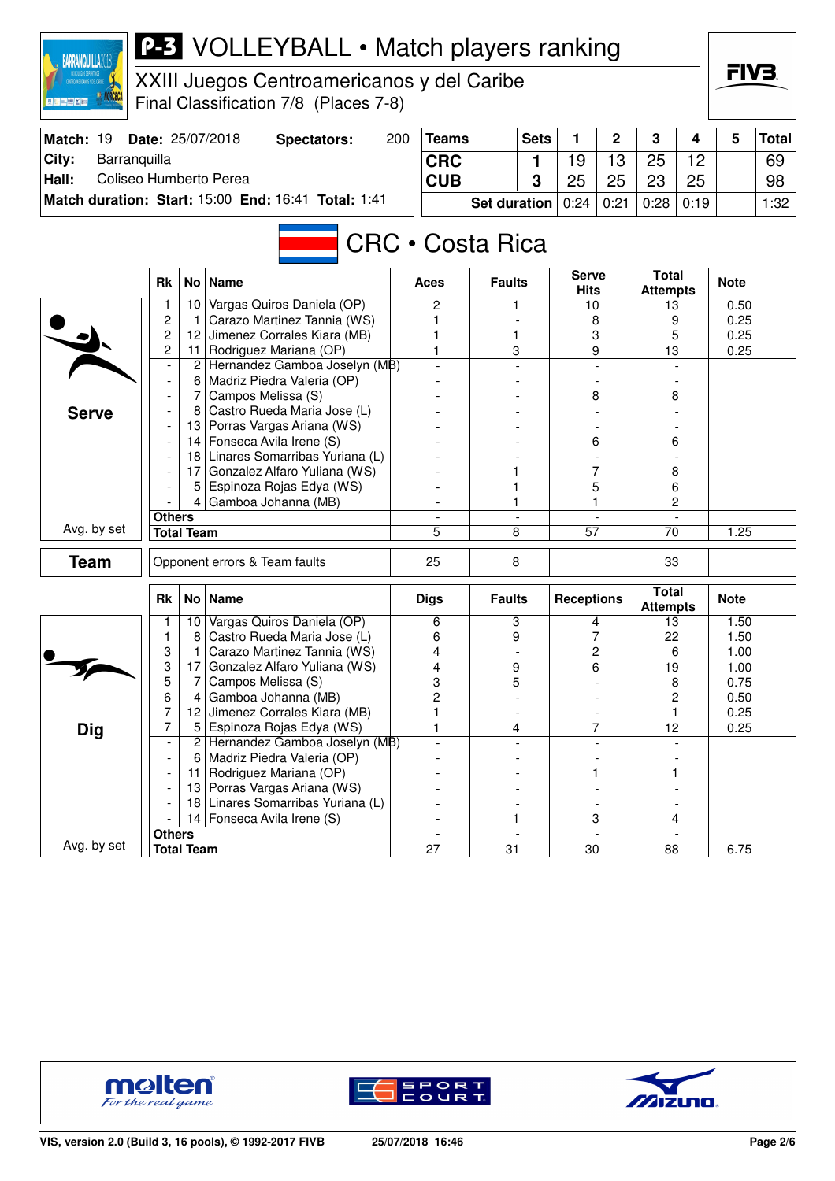| <b>P-3</b> VOLLEYBALL • Match players ranking<br><b>BARRANQUILLA201</b><br>XXIII Juegos Centroamericanos y del Caribe<br>Final Classification 7/8 (Places 7-8) |                              |                                 |                                                                 |     |                          |                 |                |                             |                |                                 |              |              | FIV3         |  |  |
|----------------------------------------------------------------------------------------------------------------------------------------------------------------|------------------------------|---------------------------------|-----------------------------------------------------------------|-----|--------------------------|-----------------|----------------|-----------------------------|----------------|---------------------------------|--------------|--------------|--------------|--|--|
| Match: 19                                                                                                                                                      |                              |                                 | Date: 25/07/2018<br><b>Spectators:</b>                          | 200 | <b>Teams</b>             |                 | <b>Sets</b>    | 1                           | $\mathbf 2$    | 3                               | 4            | 5            | <b>Total</b> |  |  |
| City:<br>Barranquilla                                                                                                                                          |                              | <b>CRC</b>                      |                                                                 | 1   | 19                       | 13              | 25             | 12                          |                | 69                              |              |              |              |  |  |
| Hall:<br>Coliseo Humberto Perea                                                                                                                                |                              | <b>CUB</b>                      |                                                                 | 3   | 25                       | 25              | 23             | 25                          |                | 98                              |              |              |              |  |  |
| Match duration: Start: 15:00 End: 16:41 Total: 1:41                                                                                                            |                              |                                 | <b>Set duration</b>                                             |     | 0:24                     | 0:21            | 0:28           | 0:19                        |                | 1:32                            |              |              |              |  |  |
|                                                                                                                                                                |                              |                                 |                                                                 |     | <b>CRC • Costa Rica</b>  |                 |                |                             |                |                                 |              |              |              |  |  |
|                                                                                                                                                                | <b>Rk</b>                    |                                 | No   Name                                                       |     | <b>Aces</b>              | <b>Faults</b>   |                | <b>Serve</b><br><b>Hits</b> |                | <b>Total</b><br><b>Attempts</b> |              | <b>Note</b>  |              |  |  |
|                                                                                                                                                                | 1                            | 10 I                            | Vargas Quiros Daniela (OP)                                      |     | 2                        | 1               |                | 10                          |                | 13                              |              | 0.50         |              |  |  |
|                                                                                                                                                                | 2                            | -1<br>12                        | Carazo Martinez Tannia (WS)<br>Jimenez Corrales Kiara (MB)      |     |                          |                 |                | 8                           |                | 9                               |              | 0.25<br>0.25 |              |  |  |
|                                                                                                                                                                | 2<br>$\overline{\mathbf{c}}$ | 11                              | 1<br>3<br>Rodriguez Mariana (OP)                                |     |                          | 3<br>9          | 5<br>13        |                             | 0.25           |                                 |              |              |              |  |  |
|                                                                                                                                                                |                              | 2 Hernandez Gamboa Joselyn (MB) |                                                                 |     |                          |                 |                |                             |                |                                 |              |              |              |  |  |
|                                                                                                                                                                |                              | 6                               | Madriz Piedra Valeria (OP)                                      |     |                          |                 |                |                             |                |                                 |              |              |              |  |  |
| <b>Serve</b>                                                                                                                                                   |                              | 7 <sup>1</sup>                  | Campos Melissa (S)                                              |     |                          |                 |                | 8                           |                | 8                               |              |              |              |  |  |
|                                                                                                                                                                |                              | 8                               | Castro Rueda Maria Jose (L)                                     |     |                          |                 |                |                             |                |                                 |              |              |              |  |  |
|                                                                                                                                                                |                              |                                 | 13 Porras Vargas Ariana (WS)                                    |     |                          |                 |                |                             |                |                                 |              |              |              |  |  |
|                                                                                                                                                                |                              |                                 | 14 Fonseca Avila Irene (S)<br>18 Linares Somarribas Yuriana (L) |     |                          |                 |                |                             | 6              | 6                               |              |              |              |  |  |
|                                                                                                                                                                |                              | 17 I                            | Gonzalez Alfaro Yuliana (WS)                                    |     |                          |                 |                |                             | 7              | 8                               |              |              |              |  |  |
|                                                                                                                                                                |                              | 5                               | Espinoza Rojas Edya (WS)                                        |     |                          |                 |                | 5                           |                | 6                               |              |              |              |  |  |
|                                                                                                                                                                |                              |                                 | Gamboa Johanna (MB)                                             |     |                          |                 |                | 1.                          |                | 2                               |              |              |              |  |  |
|                                                                                                                                                                | <b>Others</b>                |                                 |                                                                 |     |                          |                 | $\overline{a}$ |                             |                |                                 |              |              |              |  |  |
| Avg. by set                                                                                                                                                    | <b>Total Team</b>            |                                 |                                                                 |     | 5                        | 8               |                | $\overline{57}$             |                | 70                              |              | 1.25         |              |  |  |
| <b>Team</b>                                                                                                                                                    |                              |                                 | Opponent errors & Team faults                                   |     | 25                       |                 | 8              |                             |                | 33                              |              |              |              |  |  |
|                                                                                                                                                                | <b>Rk</b>                    |                                 | No Name                                                         |     | <b>Digs</b>              | <b>Faults</b>   |                | <b>Receptions</b>           |                | <b>Total</b><br><b>Attempts</b> |              | <b>Note</b>  |              |  |  |
|                                                                                                                                                                |                              | 10                              | Vargas Quiros Daniela (OP)<br>Castro Rueda Maria Jose (L)       |     | 6                        | 3               |                |                             | 4              | 13                              |              | 1.50         |              |  |  |
|                                                                                                                                                                | 1<br>3                       | 8<br>1                          | Carazo Martinez Tannia (WS)                                     |     | 6<br>4                   | 9               |                |                             | 7<br>2         | 22<br>6                         |              | 1.50<br>1.00 |              |  |  |
|                                                                                                                                                                | 3                            | 17                              | Gonzalez Alfaro Yuliana (WS)                                    |     | 4                        | 9               |                |                             | 6              | 19                              |              | 1.00         |              |  |  |
|                                                                                                                                                                | 5                            | 7                               | Campos Melissa (S)                                              |     | 3                        | 5               |                |                             |                | 8                               |              | 0.75         |              |  |  |
|                                                                                                                                                                | 6                            | 4                               | Gamboa Johanna (MB)                                             |     | $\overline{c}$           |                 |                |                             |                |                                 | $\mathbf{2}$ | 0.50         |              |  |  |
|                                                                                                                                                                | 7                            | 12                              | Jimenez Corrales Kiara (MB)                                     |     |                          |                 |                |                             |                | 1                               |              | 0.25         |              |  |  |
| <b>Dig</b>                                                                                                                                                     | 7                            | 5                               | Espinoza Rojas Edya (WS)                                        |     | 1                        | 4               |                |                             | 7              | 12                              |              | 0.25         |              |  |  |
|                                                                                                                                                                |                              | 2 <br>6                         | Hernandez Gamboa Joselyn (MB)<br>Madriz Piedra Valeria (OP)     |     |                          |                 |                |                             |                |                                 |              |              |              |  |  |
|                                                                                                                                                                |                              | 11                              | Rodriguez Mariana (OP)                                          |     |                          |                 |                |                             |                |                                 |              |              |              |  |  |
|                                                                                                                                                                |                              | 13                              | Porras Vargas Ariana (WS)                                       |     |                          |                 |                |                             |                |                                 |              |              |              |  |  |
|                                                                                                                                                                |                              |                                 | 18 Linares Somarribas Yuriana (L)                               |     |                          |                 |                |                             |                |                                 |              |              |              |  |  |
|                                                                                                                                                                |                              | 14                              | Fonseca Avila Irene (S)                                         |     |                          |                 |                |                             | 3              | 4                               |              |              |              |  |  |
| Avg. by set                                                                                                                                                    | <b>Others</b>                |                                 |                                                                 |     | $\overline{\phantom{a}}$ |                 | $\blacksquare$ |                             | $\overline{a}$ |                                 |              |              |              |  |  |
|                                                                                                                                                                | <b>Total Team</b>            |                                 |                                                                 |     | $\overline{27}$          | $\overline{31}$ |                | $\overline{30}$             |                | 88                              |              | 6.75         |              |  |  |





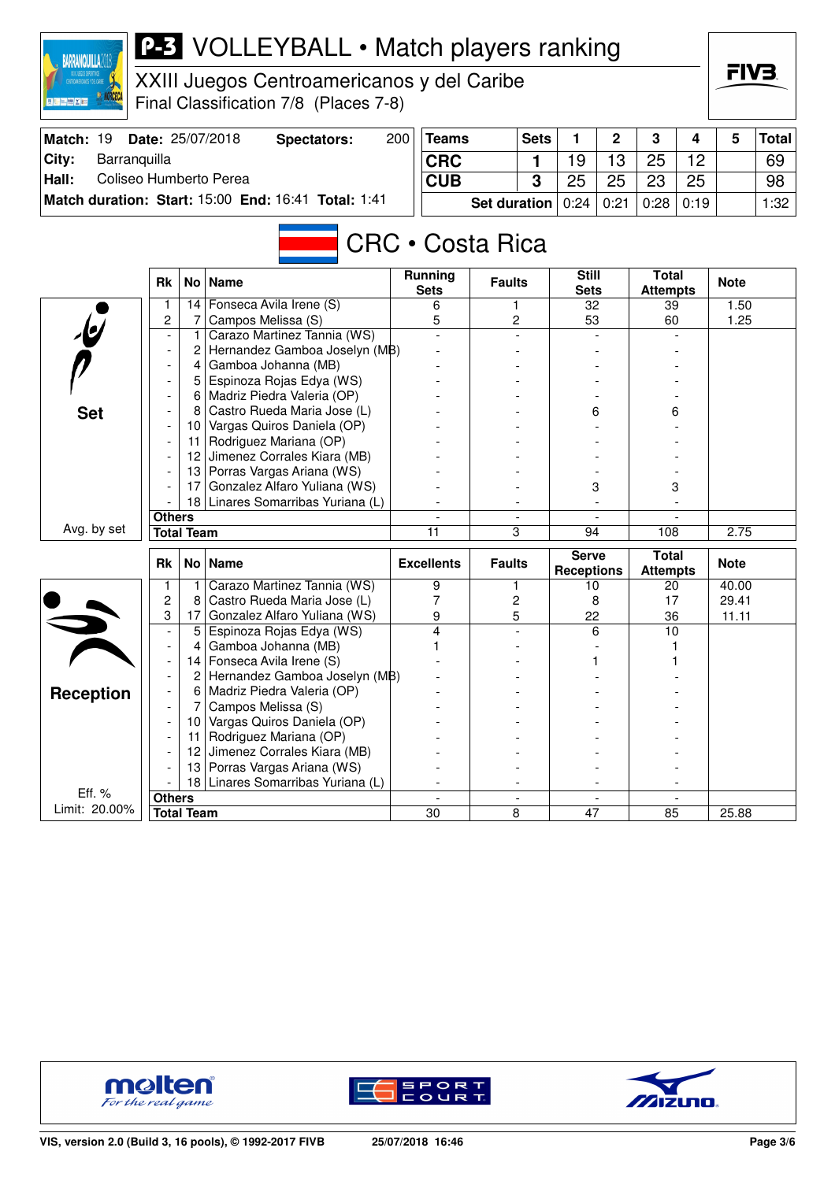| CENTROINERICANOS Y DEL CARBE<br>医正面的 |                                                     |                 | XXIII Juegos Centroamericanos y del Caribe<br>Final Classification 7/8 (Places 7-8) |                   |                         |    |                                     |    |                                 |      | ГІ У Ә.     |              |
|--------------------------------------|-----------------------------------------------------|-----------------|-------------------------------------------------------------------------------------|-------------------|-------------------------|----|-------------------------------------|----|---------------------------------|------|-------------|--------------|
| Match: 19                            |                                                     |                 | Date: 25/07/2018<br><b>Spectators:</b>                                              | 200               | <b>Teams</b>            |    | 1<br><b>Sets</b>                    | 2  | 3                               | 4    | 5           | <b>Total</b> |
| City:<br>Barranquilla                |                                                     |                 |                                                                                     | <b>CRC</b>        |                         | 1  | 19                                  | 13 | 25                              | 12   |             | 69           |
| Hall:                                | Coliseo Humberto Perea                              |                 |                                                                                     |                   | <b>CUB</b>              | 3  | 25                                  | 25 | 23                              | 25   |             | 98           |
|                                      | Match duration: Start: 15:00 End: 16:41 Total: 1:41 |                 |                                                                                     |                   |                         |    | <b>Set duration</b><br>0:24<br>0:21 |    | 0:28                            | 0:19 |             | 1:32         |
|                                      |                                                     |                 |                                                                                     | Running           | <b>CRC • Costa Rica</b> |    |                                     |    |                                 |      |             |              |
|                                      | <b>Rk</b>                                           |                 | No   Name                                                                           | <b>Sets</b>       | <b>Faults</b>           |    | <b>Still</b><br><b>Sets</b>         |    | <b>Total</b><br><b>Attempts</b> |      | <b>Note</b> |              |
|                                      | 1                                                   | 14              | Fonseca Avila Irene (S)                                                             | 6                 |                         | 1. | $\overline{32}$                     |    | 39                              |      | 1.50        |              |
|                                      | $\overline{c}$<br>$\overline{a}$                    | 7               | Campos Melissa (S)<br>Carazo Martinez Tannia (WS)                                   | 5                 |                         | 2  | 53                                  |    | 60                              |      | 1.25        |              |
|                                      |                                                     | 2               | Hernandez Gamboa Joselyn (MB)                                                       |                   |                         |    |                                     |    |                                 |      |             |              |
|                                      |                                                     | 4               | Gamboa Johanna (MB)                                                                 |                   |                         |    |                                     |    |                                 |      |             |              |
|                                      |                                                     | 5               | Espinoza Rojas Edya (WS)                                                            |                   |                         |    |                                     |    |                                 |      |             |              |
|                                      |                                                     | 6               | Madriz Piedra Valeria (OP)                                                          |                   |                         |    |                                     |    |                                 |      |             |              |
| <b>Set</b>                           |                                                     | 8               | Castro Rueda Maria Jose (L)                                                         |                   |                         |    |                                     | 6  |                                 | 6    |             |              |
|                                      |                                                     | 10              | Vargas Quiros Daniela (OP)                                                          |                   |                         |    |                                     |    |                                 |      |             |              |
|                                      |                                                     | 11              | Rodriguez Mariana (OP)                                                              |                   |                         |    |                                     |    |                                 |      |             |              |
|                                      |                                                     |                 | 12 Jimenez Corrales Kiara (MB)                                                      |                   |                         |    |                                     |    |                                 |      |             |              |
|                                      |                                                     |                 | 13 Porras Vargas Ariana (WS)                                                        |                   |                         |    |                                     |    | 3                               |      |             |              |
|                                      |                                                     | 17              | Gonzalez Alfaro Yuliana (WS)                                                        |                   |                         |    | 3                                   |    |                                 |      |             |              |
|                                      | <b>Others</b>                                       |                 | 18 Linares Somarribas Yuriana (L)                                                   |                   |                         |    |                                     |    |                                 |      |             |              |
| Avg. by set                          | <b>Total Team</b>                                   |                 |                                                                                     | 11                |                         | 3  |                                     | 94 |                                 |      | 2.75        |              |
|                                      |                                                     |                 |                                                                                     |                   |                         |    |                                     |    | 108                             |      |             |              |
|                                      | Rk                                                  | No <sub>1</sub> | <b>Name</b>                                                                         | <b>Excellents</b> | <b>Faults</b>           |    | <b>Serve</b><br><b>Receptions</b>   |    | <b>Total</b><br><b>Attempts</b> |      | <b>Note</b> |              |
|                                      | 1                                                   | 1               | Carazo Martinez Tannia (WS)                                                         | 9                 |                         | 1  | 10                                  |    | 20                              |      | 40.00       |              |
|                                      | $\overline{c}$                                      | 8               | Castro Rueda Maria Jose (L)                                                         | 7                 |                         | 2  | 8                                   |    | 17                              |      | 29.41       |              |
|                                      | 3                                                   | 17              | Gonzalez Alfaro Yuliana (WS)                                                        | 9                 |                         | 5  | 22                                  |    | 36                              |      | 11.11       |              |
|                                      |                                                     | 5<br>4          | Espinoza Rojas Edya (WS)<br>Gamboa Johanna (MB)                                     | 4                 |                         |    | 6                                   |    | 10                              |      |             |              |
|                                      |                                                     | 4               | Fonseca Avila Irene (S)                                                             |                   |                         |    |                                     |    |                                 |      |             |              |
|                                      |                                                     | 2               | Hernandez Gamboa Joselyn (MB)                                                       |                   |                         |    |                                     |    |                                 |      |             |              |
| <b>Reception</b>                     | $\overline{\phantom{a}}$                            | 6               | Madriz Piedra Valeria (OP)                                                          |                   |                         |    |                                     |    |                                 |      |             |              |
|                                      |                                                     |                 | Campos Melissa (S)                                                                  |                   |                         |    |                                     |    |                                 |      |             |              |
|                                      |                                                     | 10              | Vargas Quiros Daniela (OP)                                                          |                   |                         |    |                                     |    |                                 |      |             |              |
|                                      |                                                     | 11              | Rodriguez Mariana (OP)                                                              |                   |                         |    |                                     |    |                                 |      |             |              |
|                                      |                                                     |                 | 12 Jimenez Corrales Kiara (MB)                                                      |                   |                         |    |                                     |    |                                 |      |             |              |
|                                      |                                                     |                 | 13 Porras Vargas Ariana (WS)                                                        |                   |                         |    |                                     |    |                                 |      |             |              |
| Eff. %                               |                                                     |                 | 18 Linares Somarribas Yuriana (L)                                                   |                   |                         |    |                                     |    |                                 |      |             |              |
| Limit: 20.00%                        | <b>Others</b>                                       |                 |                                                                                     |                   |                         |    |                                     |    |                                 |      |             |              |
|                                      | <b>Total Team</b>                                   |                 |                                                                                     | 30                |                         | 8  | 47                                  |    | 85                              |      | 25.88       |              |

**P-3** VOLLEYBALL • Match players ranking



**BARRANQUILLA2018** 



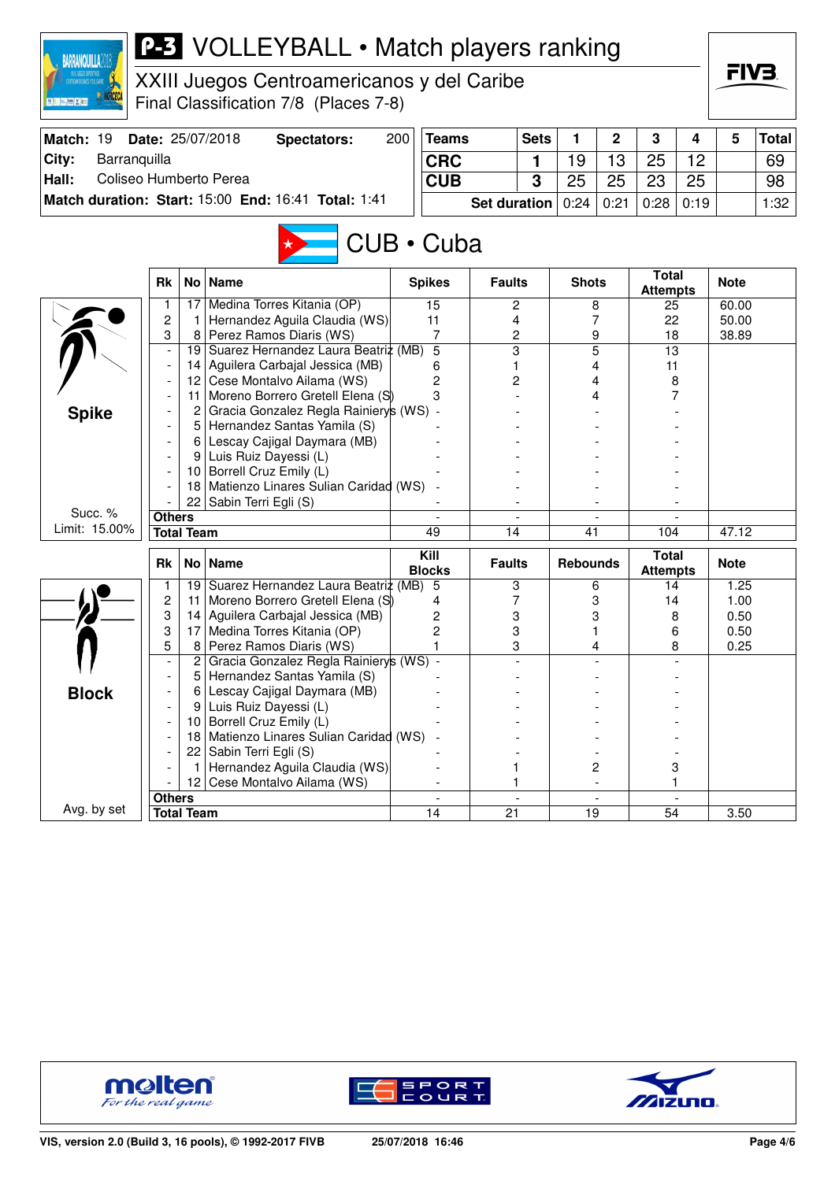| <b>BARRANQUILLA2018</b><br><b>TROANERICANOS Y DEL CARIBE</b><br><b>夏阳 三體 X 四</b> | <b>P-3</b> VOLLEYBALL • Match players ranking<br>XXIII Juegos Centroamericanos y del Caribe<br>Final Classification 7/8 (Places 7-8) |                   |                                                                |     |                       |                |             |                          |                          |                                 |        |              |              |
|----------------------------------------------------------------------------------|--------------------------------------------------------------------------------------------------------------------------------------|-------------------|----------------------------------------------------------------|-----|-----------------------|----------------|-------------|--------------------------|--------------------------|---------------------------------|--------|--------------|--------------|
| Match: 19                                                                        |                                                                                                                                      |                   | Date: 25/07/2018<br><b>Spectators:</b>                         | 200 | <b>Teams</b>          |                | <b>Sets</b> | 1                        | 2                        | 3                               | 4      | 5            | <b>Total</b> |
| City:<br>Barranquilla                                                            |                                                                                                                                      | <b>CRC</b>        |                                                                | 1   | 19                    | 13             | 25          | 12                       |                          | 69                              |        |              |              |
| Hall:<br>Coliseo Humberto Perea                                                  |                                                                                                                                      | <b>CUB</b>        |                                                                | 3   | 25                    | 25             | 23          | 25                       |                          | 98                              |        |              |              |
| Match duration: Start: 15:00 End: 16:41 Total: 1:41                              |                                                                                                                                      |                   |                                                                |     |                       | Set duration   |             | 0:24                     | 0:21                     | 0:28                            | 0:19   |              | 1:32         |
| CUB · Cuba                                                                       |                                                                                                                                      |                   |                                                                |     |                       |                |             |                          |                          |                                 |        |              |              |
|                                                                                  | <b>Rk</b>                                                                                                                            | No                | <b>Name</b>                                                    |     | <b>Spikes</b>         | <b>Faults</b>  |             | <b>Shots</b>             |                          | <b>Total</b><br><b>Attempts</b> |        | <b>Note</b>  |              |
|                                                                                  | 1                                                                                                                                    | 17                | Medina Torres Kitania (OP)                                     |     | 15                    | $\overline{c}$ |             |                          | 8                        | 25                              |        | 60.00        |              |
|                                                                                  | 2                                                                                                                                    |                   | Hernandez Aguila Claudia (WS)                                  |     | 11                    | 4              |             |                          | 7                        | 22                              |        | 50.00        |              |
|                                                                                  | 3                                                                                                                                    | 8<br>19           | Perez Ramos Diaris (WS)<br>Suarez Hernandez Laura Beatriz (MB) |     | 7<br>$\overline{5}$   | 2<br>3         |             | 9<br>$\overline{5}$<br>4 |                          | 18<br>$\overline{13}$           |        | 38.89        |              |
|                                                                                  |                                                                                                                                      | 14                | Aguilera Carbajal Jessica (MB)                                 |     | 6                     | 1              |             |                          |                          | 11                              |        |              |              |
|                                                                                  | 12 Cese Montalvo Ailama (WS)                                                                                                         |                   |                                                                |     |                       | 2              |             |                          | 4                        |                                 | 8      |              |              |
|                                                                                  |                                                                                                                                      |                   | 11 Moreno Borrero Gretell Elena (S)                            |     | 2<br>3                |                |             | 4                        |                          | 7                               |        |              |              |
| <b>Spike</b>                                                                     |                                                                                                                                      | $\overline{2}$    | Gracia Gonzalez Regla Rainiery's (WS) -                        |     |                       |                |             |                          |                          |                                 |        |              |              |
|                                                                                  |                                                                                                                                      | 5                 | Hernandez Santas Yamila (S)                                    |     |                       |                |             |                          |                          |                                 |        |              |              |
|                                                                                  |                                                                                                                                      |                   | 6 Lescay Cajigal Daymara (MB)                                  |     |                       |                |             |                          |                          |                                 |        |              |              |
|                                                                                  | Luis Ruiz Dayessi (L)<br>9                                                                                                           |                   |                                                                |     |                       |                |             |                          |                          |                                 |        |              |              |
|                                                                                  |                                                                                                                                      | 10                | Borrell Cruz Emily (L)                                         |     |                       |                |             |                          |                          |                                 |        |              |              |
|                                                                                  |                                                                                                                                      | 18                | Matienzo Linares Sulian Caridad (WS)                           |     |                       |                |             |                          |                          |                                 |        |              |              |
| Succ. %                                                                          | <b>Others</b>                                                                                                                        | 22                | Sabin Terri Egli (S)                                           |     |                       |                |             |                          |                          |                                 |        |              |              |
| Limit: 15.00%                                                                    |                                                                                                                                      | <b>Total Team</b> |                                                                |     | 49                    | 14             |             | 41                       |                          | 104                             |        | 47.12        |              |
|                                                                                  |                                                                                                                                      |                   |                                                                |     |                       |                |             |                          |                          |                                 |        |              |              |
|                                                                                  | <b>Rk</b>                                                                                                                            | No                | <b>Name</b>                                                    |     | Kill<br><b>Blocks</b> | <b>Faults</b>  |             | <b>Rebounds</b>          |                          | <b>Total</b><br><b>Attempts</b> |        | <b>Note</b>  |              |
|                                                                                  |                                                                                                                                      | 19                | Suarez Hernandez Laura Beatriz (MB)                            |     | 5                     | 3              |             |                          | 6                        | 14                              |        | 1.25         |              |
|                                                                                  | 2                                                                                                                                    | 11                | Moreno Borrero Gretell Elena (S)                               |     | 4                     | 7              |             |                          | 3                        | 14                              |        | 1.00         |              |
|                                                                                  | 3                                                                                                                                    | 14                | Aguilera Carbajal Jessica (MB)                                 |     | 2                     | 3              |             |                          | 3                        |                                 | 8      | 0.50         |              |
|                                                                                  | 3<br>5                                                                                                                               | 17<br>8           | Medina Torres Kitania (OP)<br>Perez Ramos Diaris (WS)          |     | 2                     | 3<br>3         |             |                          | 4                        |                                 | 6<br>8 | 0.50<br>0.25 |              |
|                                                                                  |                                                                                                                                      |                   | Gracia Gonzalez Regla Rainierys (WS) -                         |     |                       |                |             |                          |                          |                                 |        |              |              |
|                                                                                  |                                                                                                                                      | 5                 | Hernandez Santas Yamila (S)                                    |     |                       |                |             |                          |                          |                                 |        |              |              |
| <b>Block</b>                                                                     |                                                                                                                                      | 6                 | Lescay Cajigal Daymara (MB)                                    |     |                       |                |             |                          |                          |                                 |        |              |              |
|                                                                                  |                                                                                                                                      | 9                 | Luis Ruiz Dayessi (L)                                          |     |                       |                |             |                          |                          |                                 |        |              |              |
|                                                                                  |                                                                                                                                      | 10                | Borrell Cruz Emily (L)                                         |     |                       |                |             |                          |                          |                                 |        |              |              |
|                                                                                  |                                                                                                                                      | 18                | Matienzo Linares Sulian Caridad (WS)                           |     |                       |                |             |                          |                          |                                 |        |              |              |
|                                                                                  |                                                                                                                                      | 22                | Sabin Terri Egli (S)                                           |     |                       |                |             |                          |                          |                                 |        |              |              |
|                                                                                  |                                                                                                                                      |                   | Hernandez Aguila Claudia (WS)                                  |     |                       |                |             |                          | 2                        |                                 | 3      |              |              |
|                                                                                  |                                                                                                                                      | 12                | Cese Montalvo Ailama (WS)                                      |     |                       |                |             |                          | $\overline{\phantom{a}}$ |                                 | 1      |              |              |
| Avg. by set                                                                      | <b>Others</b>                                                                                                                        | <b>Total Team</b> |                                                                |     | 14                    | 21             |             | 19                       | $\overline{\phantom{a}}$ | 54                              |        | 3.50         |              |
|                                                                                  |                                                                                                                                      |                   |                                                                |     |                       |                |             |                          |                          |                                 |        |              |              |





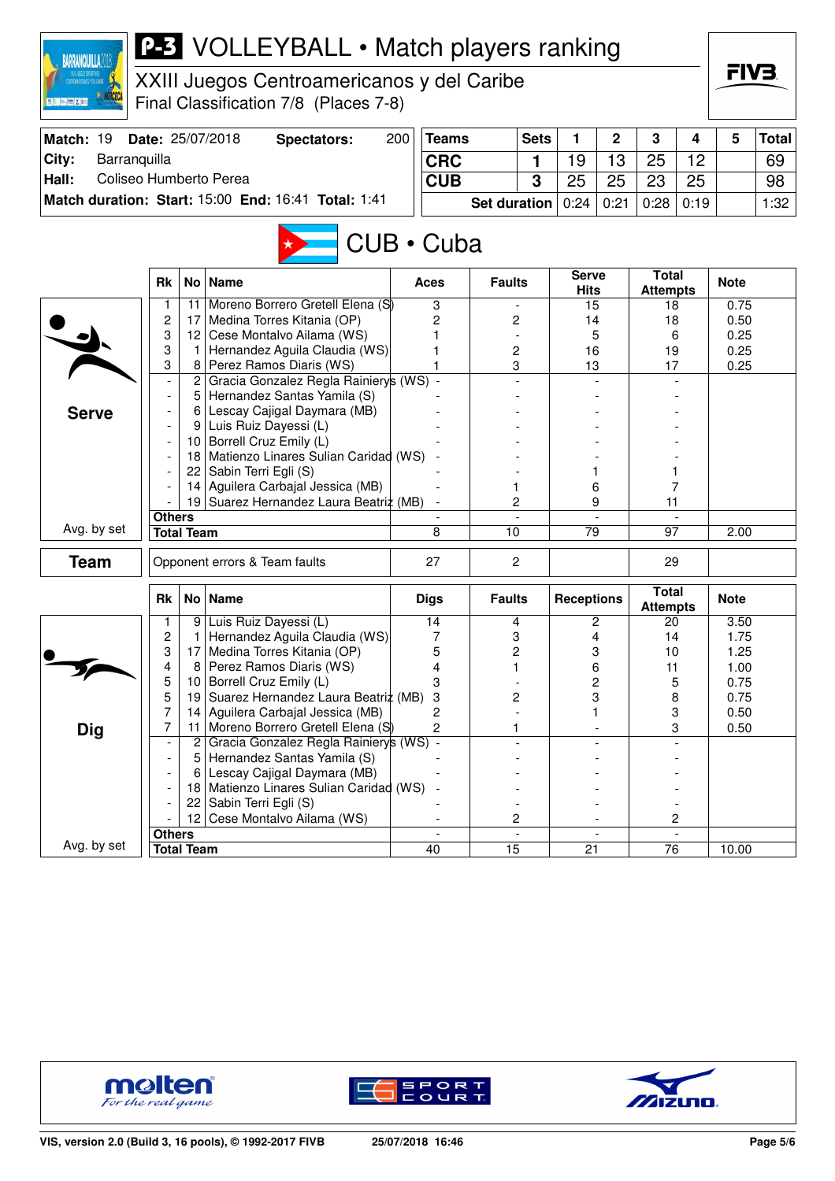| <b>BARRANQUILLA20</b>            | <b>P-3</b> VOLLEYBALL • Match players ranking<br>XXIII Juegos Centroamericanos y del Caribe<br>Final Classification 7/8 (Places 7-8) |                |                                                                      |     |                |                     |             |                             |                |                                 |      |              | FIV3         |
|----------------------------------|--------------------------------------------------------------------------------------------------------------------------------------|----------------|----------------------------------------------------------------------|-----|----------------|---------------------|-------------|-----------------------------|----------------|---------------------------------|------|--------------|--------------|
| Match: 19                        |                                                                                                                                      |                | Date: 25/07/2018<br><b>Spectators:</b>                               | 200 | <b>Teams</b>   |                     | <b>Sets</b> | 1                           | $\overline{2}$ | 3                               | 4    | 5            | <b>Total</b> |
| City:<br>Barranquilla            |                                                                                                                                      |                |                                                                      |     | <b>CRC</b>     |                     | 1           | 19                          | 13             | 25                              | 12   |              | 69           |
| Coliseo Humberto Perea<br>Hall:  |                                                                                                                                      |                |                                                                      |     | <b>CUB</b>     |                     | 3           | 25                          | 25             | 23                              | 25   |              | 98           |
|                                  |                                                                                                                                      |                | Match duration: Start: 15:00 End: 16:41 Total: 1:41                  |     |                | <b>Set duration</b> |             | 0:24                        | 0:21           | 0:28                            | 0:19 |              | 1:32         |
|                                  |                                                                                                                                      |                |                                                                      |     | CUB • Cuba     |                     |             |                             |                |                                 |      |              |              |
|                                  | <b>Rk</b>                                                                                                                            |                | No   Name                                                            |     | Aces           | <b>Faults</b>       |             | <b>Serve</b><br><b>Hits</b> |                | <b>Total</b><br><b>Attempts</b> |      | <b>Note</b>  |              |
|                                  | 1                                                                                                                                    | 11             | Moreno Borrero Gretell Elena (S)                                     |     | 3              |                     |             | 15                          |                | 18                              |      | 0.75         |              |
|                                  | $\overline{c}$                                                                                                                       | 17             | Medina Torres Kitania (OP)<br>12 Cese Montalvo Ailama (WS)           |     | 2              | 2                   |             | 14                          |                | 18                              |      | 0.50         |              |
|                                  | 3<br>3                                                                                                                               | 1              | Hernandez Aguila Claudia (WS)                                        |     |                | 2                   |             | 16                          | 5              | 19                              | 6    | 0.25<br>0.25 |              |
|                                  | 3                                                                                                                                    |                | 8 Perez Ramos Diaris (WS)                                            |     |                | 3                   |             | 13                          |                | 17                              |      | 0.25         |              |
|                                  | $\overline{\phantom{a}}$                                                                                                             |                | 2 Gracia Gonzalez Regla Rainierys (WS) -                             |     |                |                     |             |                             |                |                                 |      |              |              |
|                                  | $\overline{\phantom{a}}$                                                                                                             | 5              | Hernandez Santas Yamila (S)                                          |     |                |                     |             |                             |                |                                 |      |              |              |
| <b>Serve</b>                     |                                                                                                                                      |                | 6 Lescay Cajigal Daymara (MB)                                        |     |                |                     |             |                             |                |                                 |      |              |              |
|                                  |                                                                                                                                      |                | 9 Luis Ruiz Dayessi (L)                                              |     |                |                     |             |                             |                |                                 |      |              |              |
|                                  |                                                                                                                                      |                | 10 Borrell Cruz Emily (L)<br>18 Matienzo Linares Sulian Caridad (WS) |     |                |                     |             |                             |                |                                 |      |              |              |
|                                  |                                                                                                                                      | 22             | Sabin Terri Egli (S)                                                 |     |                |                     |             |                             |                |                                 |      |              |              |
|                                  |                                                                                                                                      | 14             | Aguilera Carbajal Jessica (MB)                                       |     |                | 1                   |             | 6                           |                |                                 | 7    |              |              |
|                                  |                                                                                                                                      |                | 19 Suarez Hernandez Laura Beatriz (MB)                               |     |                | 2                   |             | 9                           |                | 11                              |      |              |              |
|                                  | <b>Others</b>                                                                                                                        |                |                                                                      |     |                |                     |             |                             |                |                                 |      |              |              |
| Avg. by set                      | <b>Total Team</b>                                                                                                                    |                |                                                                      |     | 8              | 10<br>79            |             |                             | 97             |                                 | 2.00 |              |              |
| <b>Team</b>                      |                                                                                                                                      |                | Opponent errors & Team faults                                        |     | 27             | 2                   |             |                             |                | 29                              |      |              |              |
|                                  | <b>Rk</b>                                                                                                                            |                | No Name                                                              |     | <b>Digs</b>    | <b>Faults</b>       |             | <b>Receptions</b>           |                | <b>Total</b><br><b>Attempts</b> |      | <b>Note</b>  |              |
|                                  |                                                                                                                                      |                | 9 Luis Ruiz Dayessi (L)                                              |     | 14             | 4                   |             |                             | 2              | 20                              |      | 3.50         |              |
|                                  | $\overline{c}$<br>3                                                                                                                  |                | Hernandez Aguila Claudia (WS)<br>17 Medina Torres Kitania (OP)       |     | 7              | 3<br>2              |             |                             | 4              | 14                              |      | 1.75         |              |
|                                  | 4                                                                                                                                    | 8              | Perez Ramos Diaris (WS)                                              |     | 5<br>4         | 1                   |             |                             | 3<br>6         | 10<br>11                        |      | 1.25<br>1.00 |              |
|                                  | 5                                                                                                                                    | 10             | Borrell Cruz Emily (L)                                               |     | 3              |                     |             |                             | $\overline{c}$ |                                 | 5    | 0.75         |              |
|                                  | 5                                                                                                                                    | 19             | Suarez Hernandez Laura Beatriz (MB)                                  |     | 3              | 2                   |             |                             | 3              |                                 | 8    | 0.75         |              |
|                                  | $\overline{7}$                                                                                                                       | 14             | Aguilera Carbajal Jessica (MB)                                       |     | 2              |                     |             | 1                           |                |                                 | 3    | 0.50         |              |
| <b>Dig</b>                       | 7                                                                                                                                    | 11             | Moreno Borrero Gretell Elena (S)                                     |     | $\overline{c}$ | 1                   |             |                             |                |                                 | 3    | 0.50         |              |
|                                  |                                                                                                                                      | $\overline{2}$ | Gracia Gonzalez Regla Rainierys (WS) -                               |     |                |                     |             |                             |                |                                 |      |              |              |
|                                  |                                                                                                                                      | 5<br>6         | Hernandez Santas Yamila (S)<br>Lescay Cajigal Daymara (MB)           |     |                |                     |             |                             |                |                                 |      |              |              |
|                                  |                                                                                                                                      |                | 18 Matienzo Linares Sulian Caridad (WS)                              |     |                |                     |             |                             |                |                                 |      |              |              |
|                                  |                                                                                                                                      | 22             | Sabin Terri Egli (S)                                                 |     |                |                     |             |                             |                |                                 |      |              |              |
|                                  |                                                                                                                                      |                | 12 Cese Montalvo Ailama (WS)                                         |     |                | 2                   |             |                             |                |                                 | 2    |              |              |
|                                  | <b>Others</b>                                                                                                                        |                |                                                                      |     |                |                     |             |                             |                |                                 |      |              |              |
| Avg. by set<br><b>Total Team</b> |                                                                                                                                      |                |                                                                      |     | 40             | $\overline{15}$     |             | $\overline{21}$             |                | 76                              |      | 10.00        |              |